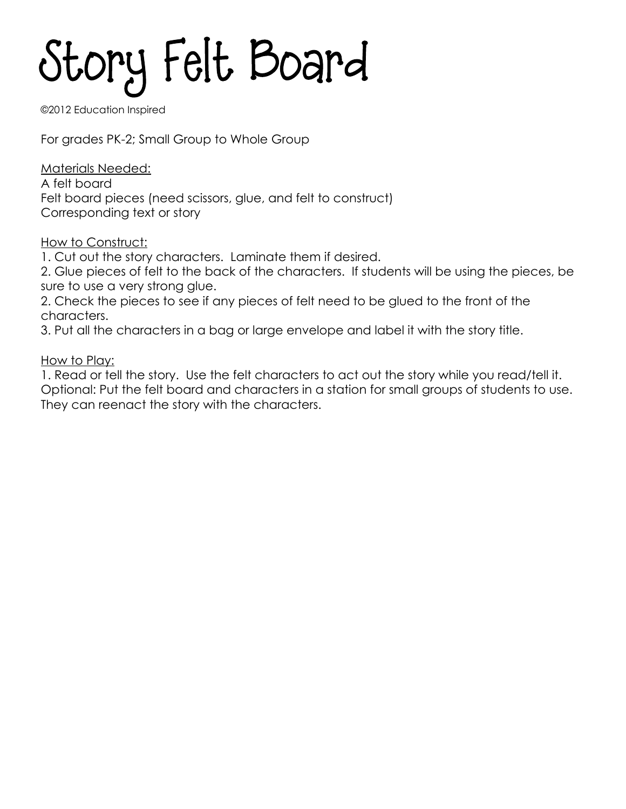## Story Felt Board

©2012 Education Inspired

For grades PK-2; Small Group to Whole Group

Materials Needed:

A felt board Felt board pieces (need scissors, glue, and felt to construct) Corresponding text or story

How to Construct:

1. Cut out the story characters. Laminate them if desired.

2. Glue pieces of felt to the back of the characters. If students will be using the pieces, be sure to use a very strong glue.

2. Check the pieces to see if any pieces of felt need to be glued to the front of the characters.

3. Put all the characters in a bag or large envelope and label it with the story title.

How to Play:

1. Read or tell the story. Use the felt characters to act out the story while you read/tell it. Optional: Put the felt board and characters in a station for small groups of students to use. They can reenact the story with the characters.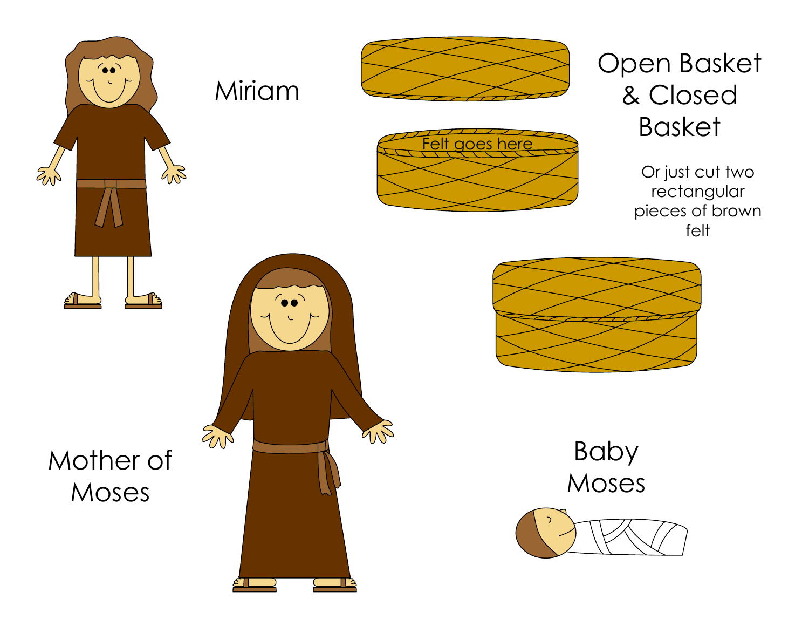